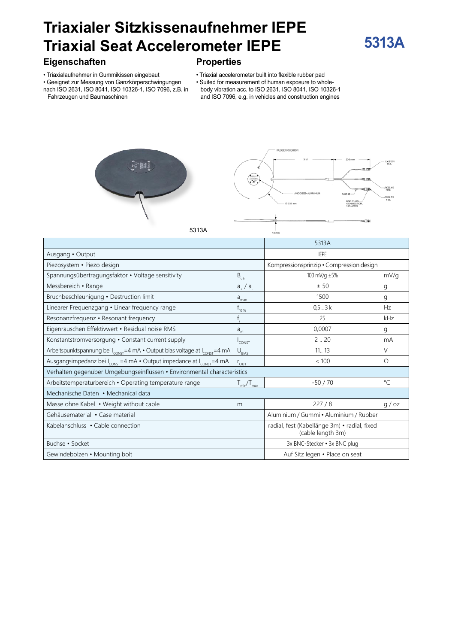# **Triaxialer Sitzkissenaufnehmer IEPE Triaxial Seat Accelerometer IEPE**

#### **Eigenschaften**

• Triaxialaufnehmer in Gummikissen eingebaut

• Geeignet zur Messung von Ganzkörperschwingungen nach ISO 2631, ISO 8041, ISO 10326-1, ISO 7096, z.B. in

Fahrzeugen und Baumaschinen

## **Properties**

- Triaxial accelerometer built into flexible rubber pad
- Suited for measurement of human exposure to wholebody vibration acc. to ISO 2631, ISO 8041, ISO 10326-1
- and ISO 7096, e.g. in vehicles and construction engines





**5313A**

5313A

|                                                                                                     |                    | 5313A                                                             |             |
|-----------------------------------------------------------------------------------------------------|--------------------|-------------------------------------------------------------------|-------------|
| Ausgang • Output                                                                                    |                    | <b>IEPE</b>                                                       |             |
| Piezosystem · Piezo design                                                                          |                    | Kompressionsprinzip · Compression design                          |             |
| Spannungsübertragungsfaktor • Voltage sensitivity                                                   | $B_{\text{ua}}$    | 100 mV/g ±5%                                                      | mV/g        |
| Messbereich • Range                                                                                 | $a_{+}$ / $a_{-}$  | ± 50                                                              | g           |
| Bruchbeschleunigung · Destruction limit                                                             | $a_{\text{max}}$   | 1500                                                              | g           |
| Linearer Frequenzgang • Linear frequency range                                                      | $f_{10\%}$         | $0,5-.3k$                                                         | Hz          |
| Resonanzfrequenz • Resonant frequency                                                               |                    | 25                                                                | kHz         |
| Eigenrauschen Effektivwert · Residual noise RMS                                                     | $a_{n1}$           | 0,0007                                                            | g           |
| Konstantstromversorgung • Constant current supply                                                   | <sup>I</sup> CONST | 2.20                                                              | mA          |
| Arbeitspunktspannung bei I <sub>const</sub> =4 mA · Output bias voltage at I <sub>const</sub> =4 mA | $U_{BIAS}$         | 11.13                                                             | $\vee$      |
| Ausgangsimpedanz bei I <sub>const</sub> =4 mA · Output impedance at I <sub>const</sub> =4 mA        | $r_{\text{out}}$   | < 100                                                             | Ω           |
| Verhalten gegenüber Umgebungseinflüssen · Environmental characteristics                             |                    |                                                                   |             |
| Arbeitstemperaturbereich · Operating temperature range                                              | $T_{min}/T_{max}$  | $-50/70$                                                          | $^{\circ}C$ |
| Mechanische Daten • Mechanical data                                                                 |                    |                                                                   |             |
| Masse ohne Kabel • Weight without cable                                                             | m                  | 227/8                                                             | q / oz      |
| Gehäusematerial • Case material                                                                     |                    | Aluminium / Gummi · Aluminium / Rubber                            |             |
| Kabelanschluss • Cable connection                                                                   |                    | radial, fest (Kabellänge 3m) · radial, fixed<br>(cable length 3m) |             |
| Buchse · Socket                                                                                     |                    | 3x BNC-Stecker • 3x BNC plug                                      |             |
| Gewindebolzen • Mounting bolt                                                                       |                    | Auf Sitz legen . Place on seat                                    |             |